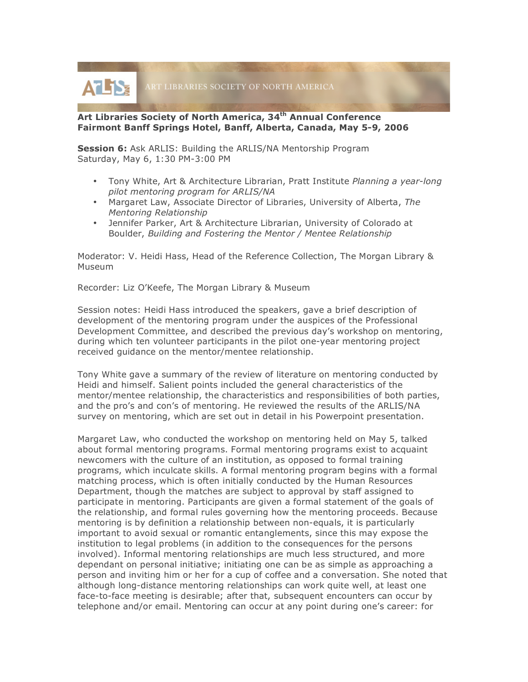**AT TS:** ART LIBRARIES SOCIETY OF NORTH AMERICA

## **Art Libraries Society of North America, 34th Annual Conference Fairmont Banff Springs Hotel, Banff, Alberta, Canada, May 5-9, 2006**

**Session 6:** Ask ARLIS: Building the ARLIS/NA Mentorship Program Saturday, May 6, 1:30 PM-3:00 PM

- Tony White, Art & Architecture Librarian, Pratt Institute *Planning a year-long pilot mentoring program for ARLIS/NA*
- Margaret Law, Associate Director of Libraries, University of Alberta, *The Mentoring Relationship*
- Jennifer Parker, Art & Architecture Librarian, University of Colorado at Boulder, *Building and Fostering the Mentor / Mentee Relationship*

Moderator: V. Heidi Hass, Head of the Reference Collection, The Morgan Library & Museum

Recorder: Liz O'Keefe, The Morgan Library & Museum

Session notes: Heidi Hass introduced the speakers, gave a brief description of development of the mentoring program under the auspices of the Professional Development Committee, and described the previous day's workshop on mentoring, during which ten volunteer participants in the pilot one-year mentoring project received guidance on the mentor/mentee relationship.

Tony White gave a summary of the review of literature on mentoring conducted by Heidi and himself. Salient points included the general characteristics of the mentor/mentee relationship, the characteristics and responsibilities of both parties, and the pro's and con's of mentoring. He reviewed the results of the ARLIS/NA survey on mentoring, which are set out in detail in his Powerpoint presentation.

Margaret Law, who conducted the workshop on mentoring held on May 5, talked about formal mentoring programs. Formal mentoring programs exist to acquaint newcomers with the culture of an institution, as opposed to formal training programs, which inculcate skills. A formal mentoring program begins with a formal matching process, which is often initially conducted by the Human Resources Department, though the matches are subject to approval by staff assigned to participate in mentoring. Participants are given a formal statement of the goals of the relationship, and formal rules governing how the mentoring proceeds. Because mentoring is by definition a relationship between non-equals, it is particularly important to avoid sexual or romantic entanglements, since this may expose the institution to legal problems (in addition to the consequences for the persons involved). Informal mentoring relationships are much less structured, and more dependant on personal initiative; initiating one can be as simple as approaching a person and inviting him or her for a cup of coffee and a conversation. She noted that although long-distance mentoring relationships can work quite well, at least one face-to-face meeting is desirable; after that, subsequent encounters can occur by telephone and/or email. Mentoring can occur at any point during one's career: for